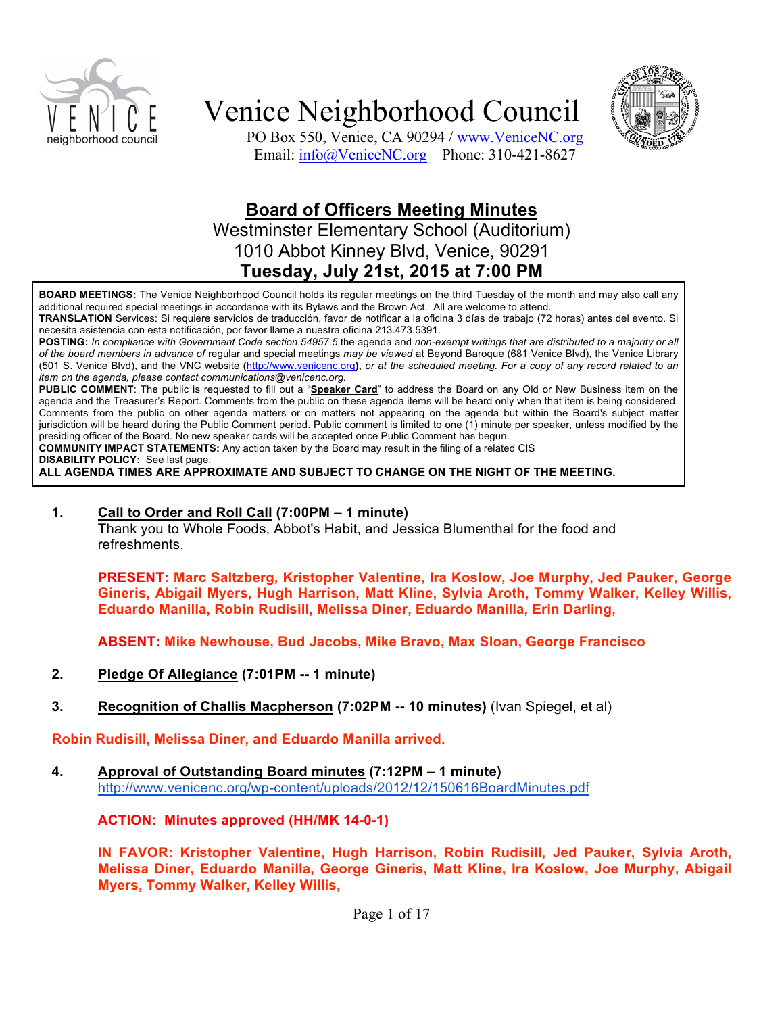



PO Box 550, Venice, CA 90294 / www.VeniceNC.org Email: info@VeniceNC.org Phone: 310-421-8627

### **Board of Officers Meeting Minutes**

Westminster Elementary School (Auditorium) 1010 Abbot Kinney Blvd, Venice, 90291 **Tuesday, July 21st, 2015 at 7:00 PM**

**BOARD MEETINGS:** The Venice Neighborhood Council holds its regular meetings on the third Tuesday of the month and may also call any additional required special meetings in accordance with its Bylaws and the Brown Act. All are welcome to attend.

**TRANSLATION** Services: Si requiere servicios de traducción, favor de notificar a la oficina 3 días de trabajo (72 horas) antes del evento. Si necesita asistencia con esta notificación, por favor llame a nuestra oficina 213.473.5391.

**POSTING:** *In compliance with Government Code section 54957.5* the agenda and *non-exempt writings that are distributed to a majority or all of the board members in advance of* regular and special meetings *may be viewed* at Beyond Baroque (681 Venice Blvd), the Venice Library (501 S. Venice Blvd), and the VNC website **(**http://www.venicenc.org**),** *or at the scheduled meeting. For a copy of any record related to an item on the agenda, please contact communications@venicenc.org.*

**PUBLIC COMMENT**: The public is requested to fill out a "**Speaker Card**" to address the Board on any Old or New Business item on the agenda and the Treasurer's Report. Comments from the public on these agenda items will be heard only when that item is being considered. Comments from the public on other agenda matters or on matters not appearing on the agenda but within the Board's subject matter jurisdiction will be heard during the Public Comment period. Public comment is limited to one (1) minute per speaker, unless modified by the presiding officer of the Board. No new speaker cards will be accepted once Public Comment has begun.

**COMMUNITY IMPACT STATEMENTS:** Any action taken by the Board may result in the filing of a related CIS **DISABILITY POLICY:** See last page.

**ALL AGENDA TIMES ARE APPROXIMATE AND SUBJECT TO CHANGE ON THE NIGHT OF THE MEETING.**

#### **1. Call to Order and Roll Call (7:00PM – 1 minute)**

Thank you to Whole Foods, Abbot's Habit, and Jessica Blumenthal for the food and refreshments.

**PRESENT: Marc Saltzberg, Kristopher Valentine, Ira Koslow, Joe Murphy, Jed Pauker, George Gineris, Abigail Myers, Hugh Harrison, Matt Kline, Sylvia Aroth, Tommy Walker, Kelley Willis, Eduardo Manilla, Robin Rudisill, Melissa Diner, Eduardo Manilla, Erin Darling,**

**ABSENT: Mike Newhouse, Bud Jacobs, Mike Bravo, Max Sloan, George Francisco**

- **2. Pledge Of Allegiance (7:01PM -- 1 minute)**
- **3. Recognition of Challis Macpherson (7:02PM -- 10 minutes)** (Ivan Spiegel, et al)

**Robin Rudisill, Melissa Diner, and Eduardo Manilla arrived.**

**4. Approval of Outstanding Board minutes (7:12PM – 1 minute)** http://www.venicenc.org/wp-content/uploads/2012/12/150616BoardMinutes.pdf

**ACTION: Minutes approved (HH/MK 14-0-1)**

**IN FAVOR: Kristopher Valentine, Hugh Harrison, Robin Rudisill, Jed Pauker, Sylvia Aroth, Melissa Diner, Eduardo Manilla, George Gineris, Matt Kline, Ira Koslow, Joe Murphy, Abigail Myers, Tommy Walker, Kelley Willis,**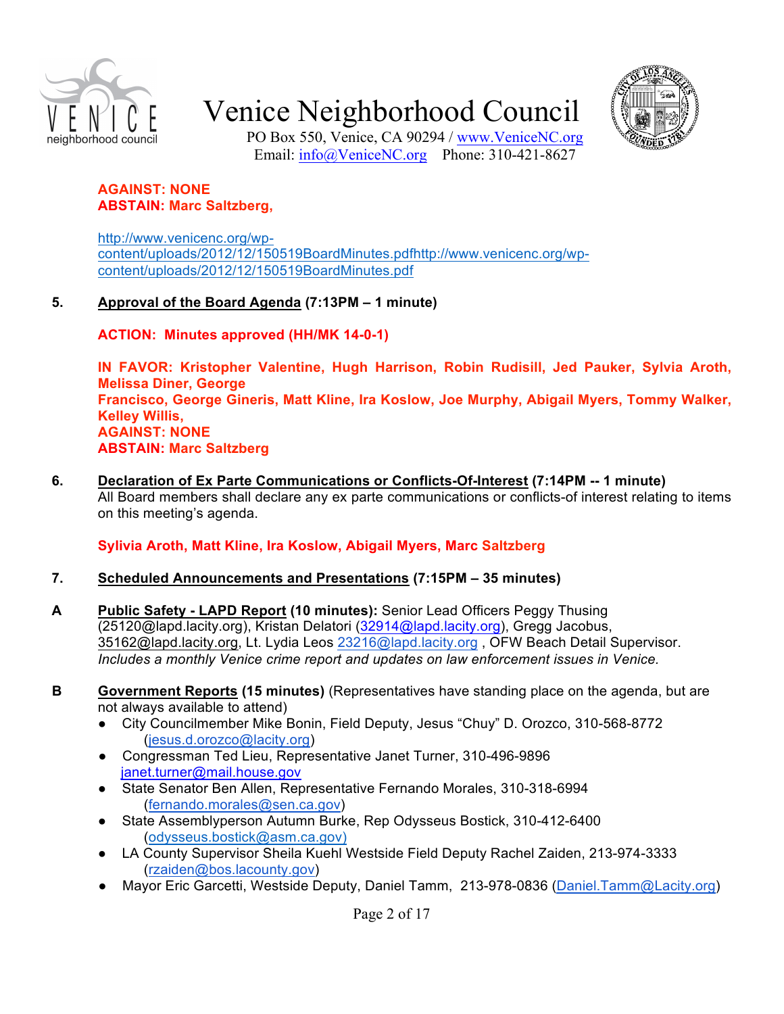



PO Box 550, Venice, CA 90294 / www.VeniceNC.org Email: info@VeniceNC.org Phone: 310-421-8627

#### **AGAINST: NONE ABSTAIN: Marc Saltzberg,**

http://www.venicenc.org/wpcontent/uploads/2012/12/150519BoardMinutes.pdfhttp://www.venicenc.org/wpcontent/uploads/2012/12/150519BoardMinutes.pdf

#### **5. Approval of the Board Agenda (7:13PM – 1 minute)**

**ACTION: Minutes approved (HH/MK 14-0-1)**

**IN FAVOR: Kristopher Valentine, Hugh Harrison, Robin Rudisill, Jed Pauker, Sylvia Aroth, Melissa Diner, George Francisco, George Gineris, Matt Kline, Ira Koslow, Joe Murphy, Abigail Myers, Tommy Walker, Kelley Willis, AGAINST: NONE ABSTAIN: Marc Saltzberg**

**6. Declaration of Ex Parte Communications or Conflicts-Of-Interest (7:14PM -- 1 minute)**  All Board members shall declare any ex parte communications or conflicts-of interest relating to items on this meeting's agenda.

#### **Sylivia Aroth, Matt Kline, Ira Koslow, Abigail Myers, Marc Saltzberg**

#### **7. Scheduled Announcements and Presentations (7:15PM – 35 minutes)**

- **A Public Safety - LAPD Report (10 minutes):** Senior Lead Officers Peggy Thusing (25120@lapd.lacity.org), Kristan Delatori (32914@lapd.lacity.org), Gregg Jacobus, 35162@lapd.lacity.org, Lt. Lydia Leos 23216@lapd.lacity.org , OFW Beach Detail Supervisor. *Includes a monthly Venice crime report and updates on law enforcement issues in Venice.*
- **B Government Reports (15 minutes)** (Representatives have standing place on the agenda, but are not always available to attend)
	- City Councilmember Mike Bonin, Field Deputy, Jesus "Chuy" D. Orozco, 310-568-8772 (jesus.d.orozco@lacity.org)
	- Congressman Ted Lieu, Representative Janet Turner, 310-496-9896 janet.turner@mail.house.gov
	- State Senator Ben Allen, Representative Fernando Morales, 310-318-6994 (fernando.morales@sen.ca.gov)
	- State Assemblyperson Autumn Burke, Rep Odysseus Bostick, 310-412-6400 (odysseus.bostick@asm.ca.gov)
	- LA County Supervisor Sheila Kuehl Westside Field Deputy Rachel Zaiden, 213-974-3333 (rzaiden@bos.lacounty.gov)
	- Mayor Eric Garcetti, Westside Deputy, Daniel Tamm, 213-978-0836 (Daniel.Tamm@Lacity.org)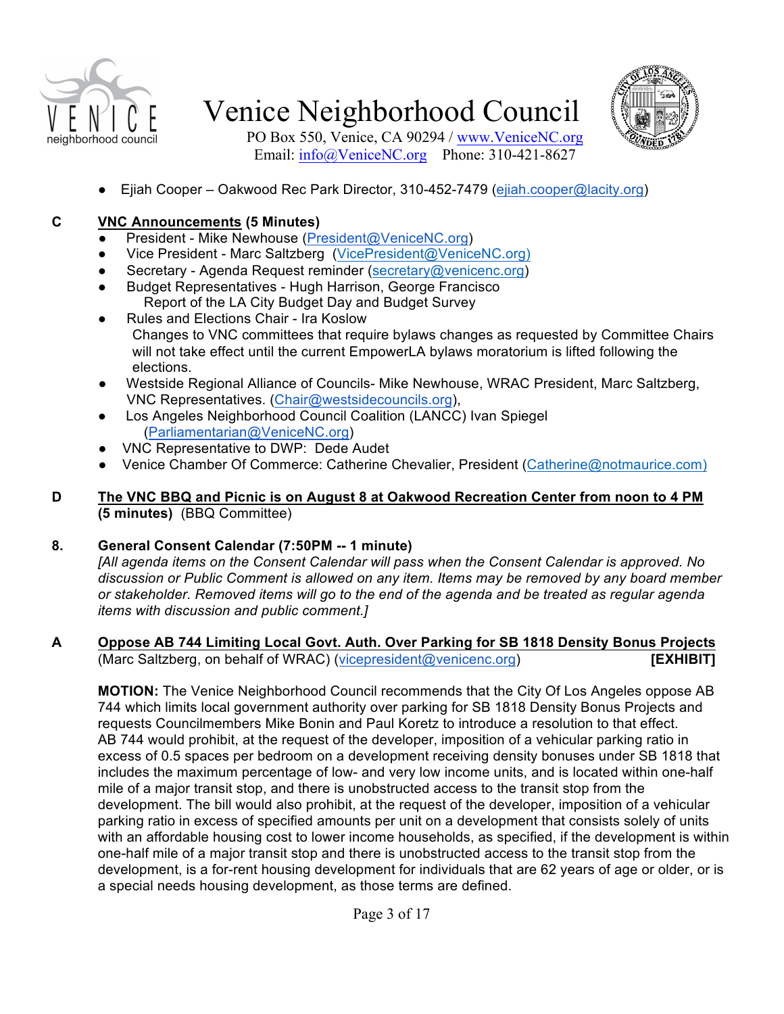



PO Box 550, Venice, CA 90294 / www.VeniceNC.org Email: info@VeniceNC.org Phone: 310-421-8627

Eiiah Cooper – Oakwood Rec Park Director, 310-452-7479 (ejiah.cooper@lacity.org)

#### **C VNC Announcements (5 Minutes)**

- President Mike Newhouse (President@VeniceNC.org)
- Vice President Marc Saltzberg (VicePresident@VeniceNC.org)
- Secretary Agenda Request reminder (secretary@venicenc.org)
- Budget Representatives Hugh Harrison, George Francisco Report of the LA City Budget Day and Budget Survey
- Rules and Elections Chair Ira Koslow Changes to VNC committees that require bylaws changes as requested by Committee Chairs will not take effect until the current EmpowerLA bylaws moratorium is lifted following the elections.
- Westside Regional Alliance of Councils- Mike Newhouse, WRAC President, Marc Saltzberg, VNC Representatives. (Chair@westsidecouncils.org),
- Los Angeles Neighborhood Council Coalition (LANCC) Ivan Spiegel (Parliamentarian@VeniceNC.org)
- VNC Representative to DWP: Dede Audet
- Venice Chamber Of Commerce: Catherine Chevalier, President (Catherine@notmaurice.com)
- **D The VNC BBQ and Picnic is on August 8 at Oakwood Recreation Center from noon to 4 PM (5 minutes)** (BBQ Committee)

#### **8. General Consent Calendar (7:50PM -- 1 minute)**

*[All agenda items on the Consent Calendar will pass when the Consent Calendar is approved. No discussion or Public Comment is allowed on any item. Items may be removed by any board member or stakeholder. Removed items will go to the end of the agenda and be treated as regular agenda items with discussion and public comment.]*

#### **A Oppose AB 744 Limiting Local Govt. Auth. Over Parking for SB 1818 Density Bonus Projects** (Marc Saltzberg, on behalf of WRAC) (vicepresident@venicenc.org) **[EXHIBIT]**

**MOTION:** The Venice Neighborhood Council recommends that the City Of Los Angeles oppose AB 744 which limits local government authority over parking for SB 1818 Density Bonus Projects and requests Councilmembers Mike Bonin and Paul Koretz to introduce a resolution to that effect. AB 744 would prohibit, at the request of the developer, imposition of a vehicular parking ratio in excess of 0.5 spaces per bedroom on a development receiving density bonuses under SB 1818 that includes the maximum percentage of low- and very low income units, and is located within one-half mile of a major transit stop, and there is unobstructed access to the transit stop from the development. The bill would also prohibit, at the request of the developer, imposition of a vehicular parking ratio in excess of specified amounts per unit on a development that consists solely of units with an affordable housing cost to lower income households, as specified, if the development is within one-half mile of a major transit stop and there is unobstructed access to the transit stop from the development, is a for-rent housing development for individuals that are 62 years of age or older, or is a special needs housing development, as those terms are defined.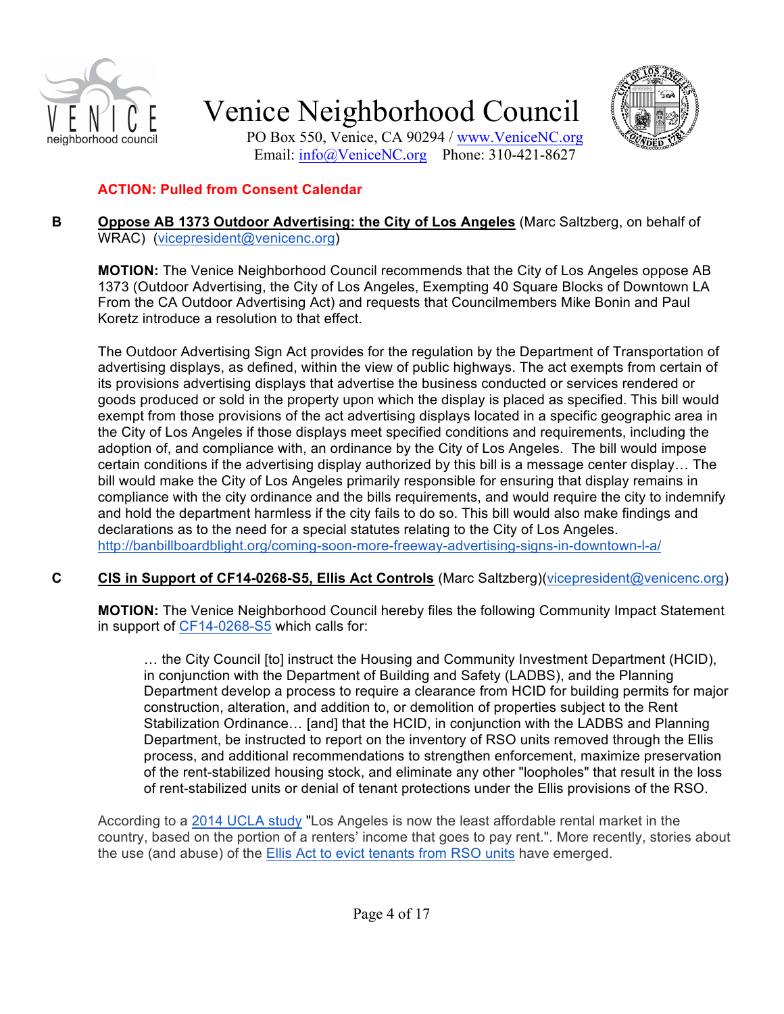



PO Box 550, Venice, CA 90294 / www.VeniceNC.org Email: info@VeniceNC.org Phone: 310-421-8627

#### **ACTION: Pulled from Consent Calendar**

#### **B Oppose AB 1373 Outdoor Advertising: the City of Los Angeles** (Marc Saltzberg, on behalf of WRAC) (vicepresident@venicenc.org)

**MOTION:** The Venice Neighborhood Council recommends that the City of Los Angeles oppose AB 1373 (Outdoor Advertising, the City of Los Angeles, Exempting 40 Square Blocks of Downtown LA From the CA Outdoor Advertising Act) and requests that Councilmembers Mike Bonin and Paul Koretz introduce a resolution to that effect.

The Outdoor Advertising Sign Act provides for the regulation by the Department of Transportation of advertising displays, as defined, within the view of public highways. The act exempts from certain of its provisions advertising displays that advertise the business conducted or services rendered or goods produced or sold in the property upon which the display is placed as specified. This bill would exempt from those provisions of the act advertising displays located in a specific geographic area in the City of Los Angeles if those displays meet specified conditions and requirements, including the adoption of, and compliance with, an ordinance by the City of Los Angeles. The bill would impose certain conditions if the advertising display authorized by this bill is a message center display… The bill would make the City of Los Angeles primarily responsible for ensuring that display remains in compliance with the city ordinance and the bills requirements, and would require the city to indemnify and hold the department harmless if the city fails to do so. This bill would also make findings and declarations as to the need for a special statutes relating to the City of Los Angeles. http://banbillboardblight.org/coming-soon-more-freeway-advertising-signs-in-downtown-l-a/

#### **C CIS in Support of CF14-0268-S5, Ellis Act Controls** (Marc Saltzberg)(vicepresident@venicenc.org)

**MOTION:** The Venice Neighborhood Council hereby files the following Community Impact Statement in support of CF14-0268-S5 which calls for:

… the City Council [to] instruct the Housing and Community Investment Department (HCID), in conjunction with the Department of Building and Safety (LADBS), and the Planning Department develop a process to require a clearance from HCID for building permits for major construction, alteration, and addition to, or demolition of properties subject to the Rent Stabilization Ordinance… [and] that the HCID, in conjunction with the LADBS and Planning Department, be instructed to report on the inventory of RSO units removed through the Ellis process, and additional recommendations to strengthen enforcement, maximize preservation of the rent-stabilized housing stock, and eliminate any other "loopholes" that result in the loss of rent-stabilized units or denial of tenant protections under the Ellis provisions of the RSO.

According to a 2014 UCLA study "Los Angeles is now the least affordable rental market in the country, based on the portion of a renters' income that goes to pay rent.". More recently, stories about the use (and abuse) of the Ellis Act to evict tenants from RSO units have emerged.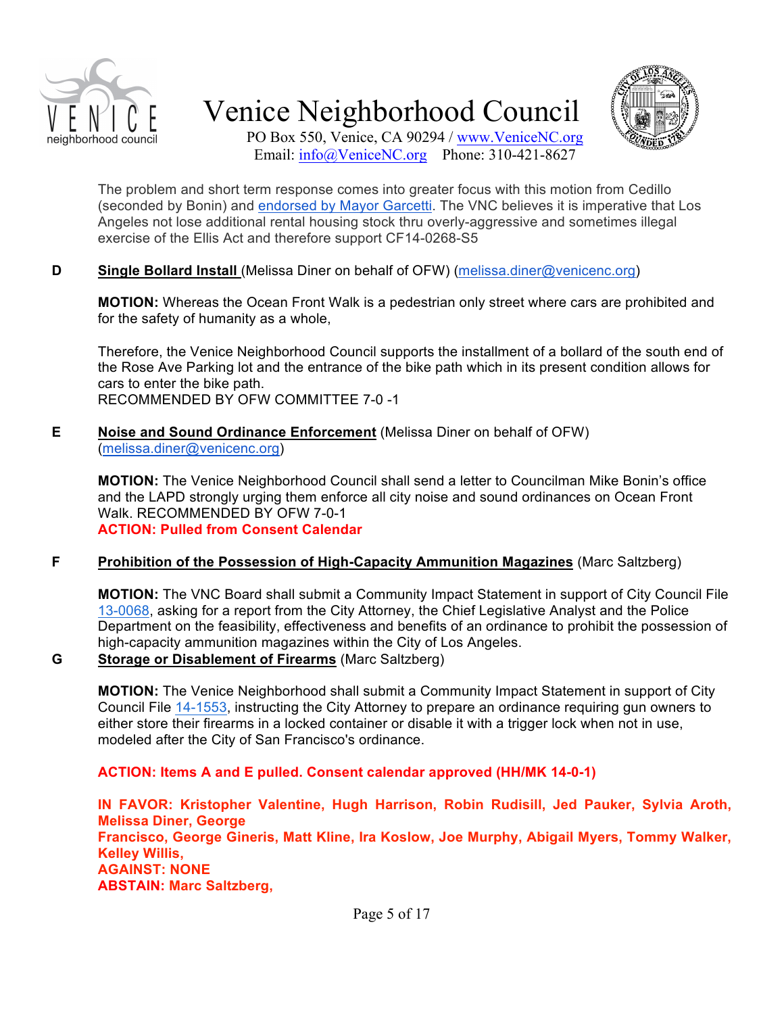



PO Box 550, Venice, CA 90294 / www.VeniceNC.org Email: info@VeniceNC.org Phone: 310-421-8627

The problem and short term response comes into greater focus with this motion from Cedillo (seconded by Bonin) and endorsed by Mayor Garcetti. The VNC believes it is imperative that Los Angeles not lose additional rental housing stock thru overly-aggressive and sometimes illegal exercise of the Ellis Act and therefore support CF14-0268-S5

#### **D Single Bollard Install** (Melissa Diner on behalf of OFW) (melissa.diner@venicenc.org)

**MOTION:** Whereas the Ocean Front Walk is a pedestrian only street where cars are prohibited and for the safety of humanity as a whole,

Therefore, the Venice Neighborhood Council supports the installment of a bollard of the south end of the Rose Ave Parking lot and the entrance of the bike path which in its present condition allows for cars to enter the bike path. RECOMMENDED BY OFW COMMITTEE 7-0 -1

#### **E Noise and Sound Ordinance Enforcement** (Melissa Diner on behalf of OFW) (melissa.diner@venicenc.org)

**MOTION:** The Venice Neighborhood Council shall send a letter to Councilman Mike Bonin's office and the LAPD strongly urging them enforce all city noise and sound ordinances on Ocean Front Walk. RECOMMENDED BY OFW 7-0-1 **ACTION: Pulled from Consent Calendar**

#### **F Prohibition of the Possession of High-Capacity Ammunition Magazines** (Marc Saltzberg)

**MOTION:** The VNC Board shall submit a Community Impact Statement in support of City Council File 13-0068, asking for a report from the City Attorney, the Chief Legislative Analyst and the Police Department on the feasibility, effectiveness and benefits of an ordinance to prohibit the possession of high-capacity ammunition magazines within the City of Los Angeles.

#### **G Storage or Disablement of Firearms** (Marc Saltzberg)

**MOTION:** The Venice Neighborhood shall submit a Community Impact Statement in support of City Council File 14-1553, instructing the City Attorney to prepare an ordinance requiring gun owners to either store their firearms in a locked container or disable it with a trigger lock when not in use, modeled after the City of San Francisco's ordinance.

#### **ACTION: Items A and E pulled. Consent calendar approved (HH/MK 14-0-1)**

**IN FAVOR: Kristopher Valentine, Hugh Harrison, Robin Rudisill, Jed Pauker, Sylvia Aroth, Melissa Diner, George Francisco, George Gineris, Matt Kline, Ira Koslow, Joe Murphy, Abigail Myers, Tommy Walker, Kelley Willis, AGAINST: NONE ABSTAIN: Marc Saltzberg,**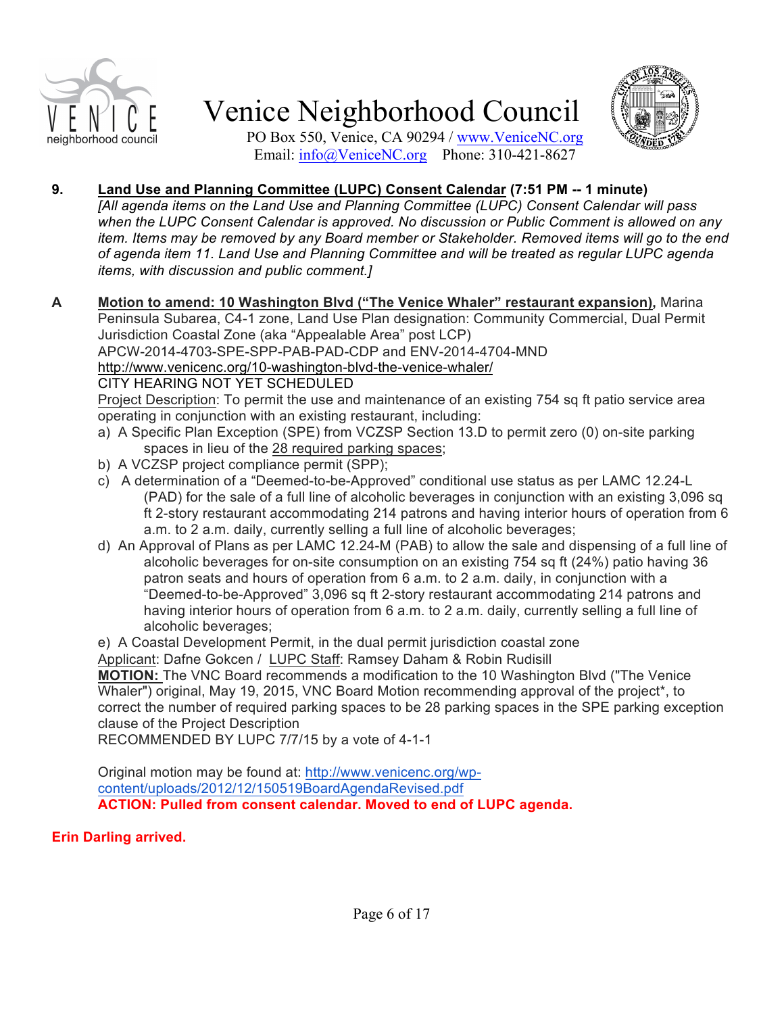



PO Box 550, Venice, CA 90294 / www.VeniceNC.org Email: info@VeniceNC.org Phone: 310-421-8627

#### **9. Land Use and Planning Committee (LUPC) Consent Calendar (7:51 PM -- 1 minute)**

*[All agenda items on the Land Use and Planning Committee (LUPC) Consent Calendar will pass when the LUPC Consent Calendar is approved. No discussion or Public Comment is allowed on any item. Items may be removed by any Board member or Stakeholder. Removed items will go to the end of agenda item 11. Land Use and Planning Committee and will be treated as regular LUPC agenda items, with discussion and public comment.]*

**A Motion to amend: 10 Washington Blvd ("The Venice Whaler" restaurant expansion),** Marina Peninsula Subarea, C4-1 zone, Land Use Plan designation: Community Commercial, Dual Permit Jurisdiction Coastal Zone (aka "Appealable Area" post LCP) APCW-2014-4703-SPE-SPP-PAB-PAD-CDP and ENV-2014-4704-MND http://www.venicenc.org/10-washington-blvd-the-venice-whaler/ CITY HEARING NOT YET SCHEDULED

Project Description: To permit the use and maintenance of an existing 754 sq ft patio service area operating in conjunction with an existing restaurant, including:

- a) A Specific Plan Exception (SPE) from VCZSP Section 13.D to permit zero (0) on-site parking spaces in lieu of the 28 required parking spaces;
- b) A VCZSP project compliance permit (SPP);
- c) A determination of a "Deemed-to-be-Approved" conditional use status as per LAMC 12.24-L (PAD) for the sale of a full line of alcoholic beverages in conjunction with an existing 3,096 sq ft 2-story restaurant accommodating 214 patrons and having interior hours of operation from 6 a.m. to 2 a.m. daily, currently selling a full line of alcoholic beverages;
- d) An Approval of Plans as per LAMC 12.24-M (PAB) to allow the sale and dispensing of a full line of alcoholic beverages for on-site consumption on an existing 754 sq ft (24%) patio having 36 patron seats and hours of operation from 6 a.m. to 2 a.m. daily, in conjunction with a "Deemed-to-be-Approved" 3,096 sq ft 2-story restaurant accommodating 214 patrons and having interior hours of operation from 6 a.m. to 2 a.m. daily, currently selling a full line of alcoholic beverages;

e) A Coastal Development Permit, in the dual permit jurisdiction coastal zone

Applicant: Dafne Gokcen / LUPC Staff: Ramsey Daham & Robin Rudisill

**MOTION:** The VNC Board recommends a modification to the 10 Washington Blvd ("The Venice Whaler") original, May 19, 2015, VNC Board Motion recommending approval of the project\*, to correct the number of required parking spaces to be 28 parking spaces in the SPE parking exception clause of the Project Description

RECOMMENDED BY LUPC 7/7/15 by a vote of 4-1-1

Original motion may be found at: http://www.venicenc.org/wpcontent/uploads/2012/12/150519BoardAgendaRevised.pdf **ACTION: Pulled from consent calendar. Moved to end of LUPC agenda.**

#### **Erin Darling arrived.**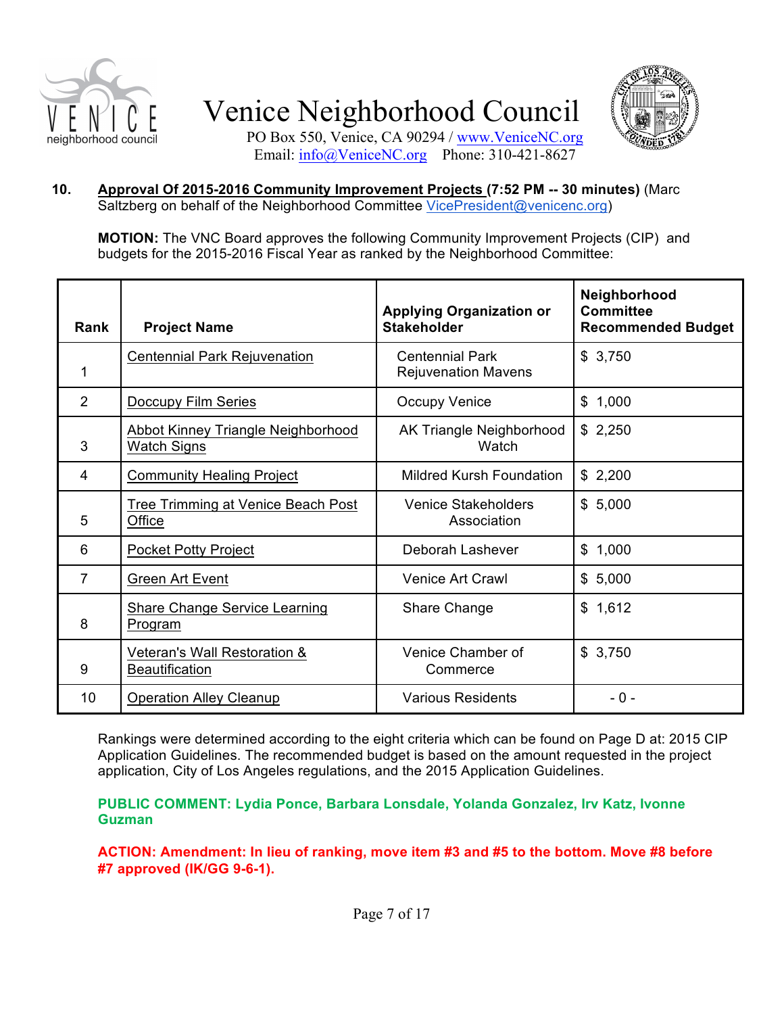



PO Box 550, Venice, CA 90294 / www.VeniceNC.org Email: info@VeniceNC.org Phone: 310-421-8627

#### **10. Approval Of 2015-2016 Community Improvement Projects (7:52 PM -- 30 minutes)** (Marc Saltzberg on behalf of the Neighborhood Committee VicePresident@venicenc.org)

**MOTION:** The VNC Board approves the following Community Improvement Projects (CIP) and budgets for the 2015-2016 Fiscal Year as ranked by the Neighborhood Committee:

| <b>Rank</b>    | <b>Project Name</b>                                             | <b>Applying Organization or</b><br><b>Stakeholder</b> | Neighborhood<br><b>Committee</b><br><b>Recommended Budget</b> |
|----------------|-----------------------------------------------------------------|-------------------------------------------------------|---------------------------------------------------------------|
| 1              | <b>Centennial Park Rejuvenation</b>                             | <b>Centennial Park</b><br><b>Rejuvenation Mavens</b>  | \$3,750                                                       |
| $\overline{2}$ | Doccupy Film Series                                             | <b>Occupy Venice</b>                                  | \$1,000                                                       |
| 3              | <b>Abbot Kinney Triangle Neighborhood</b><br><b>Watch Signs</b> | AK Triangle Neighborhood<br>Watch                     | \$2,250                                                       |
| $\overline{4}$ | <b>Community Healing Project</b>                                | Mildred Kursh Foundation                              | \$2,200                                                       |
| 5              | Tree Trimming at Venice Beach Post<br>Office                    | Venice Stakeholders<br>Association                    | \$5,000                                                       |
| 6              | <b>Pocket Potty Project</b>                                     | Deborah Lashever                                      | \$1,000                                                       |
| 7              | Green Art Event                                                 | Venice Art Crawl                                      | \$5,000                                                       |
| 8              | <b>Share Change Service Learning</b><br>Program                 | Share Change                                          | \$1,612                                                       |
| 9              | Veteran's Wall Restoration &<br><b>Beautification</b>           | Venice Chamber of<br>Commerce                         | \$3,750                                                       |
| 10             | <b>Operation Alley Cleanup</b>                                  | <b>Various Residents</b>                              | - 0 -                                                         |

Rankings were determined according to the eight criteria which can be found on Page D at: 2015 CIP Application Guidelines. The recommended budget is based on the amount requested in the project application, City of Los Angeles regulations, and the 2015 Application Guidelines.

**PUBLIC COMMENT: Lydia Ponce, Barbara Lonsdale, Yolanda Gonzalez, Irv Katz, Ivonne Guzman**

**ACTION: Amendment: In lieu of ranking, move item #3 and #5 to the bottom. Move #8 before #7 approved (IK/GG 9-6-1).**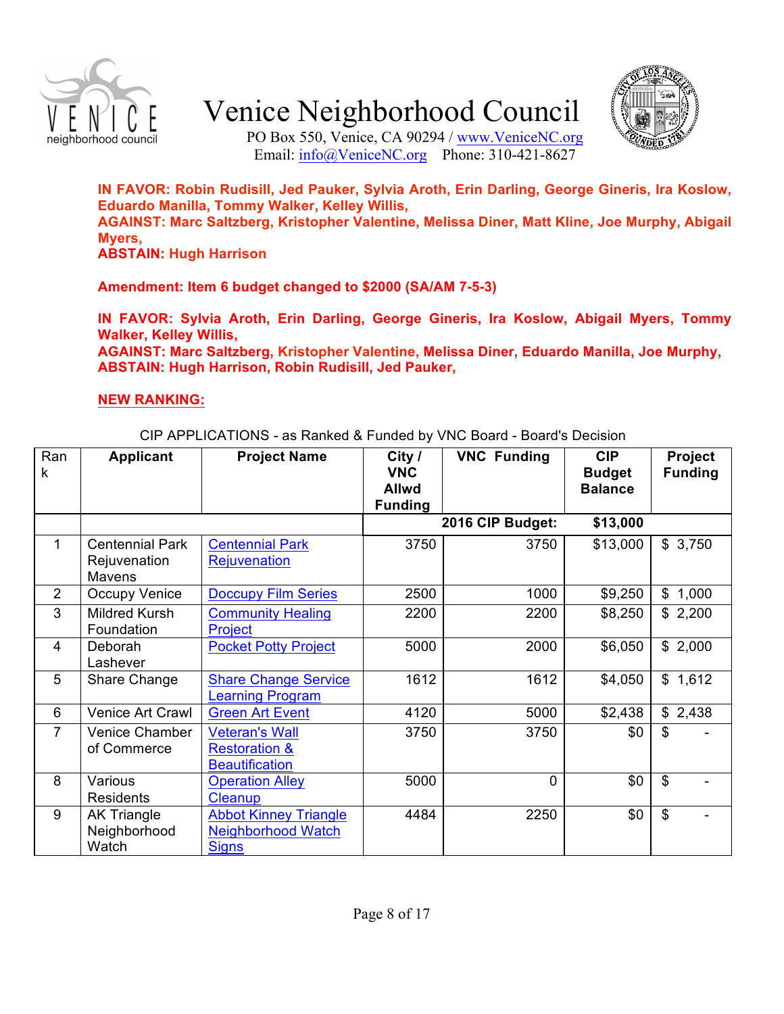



PO Box 550, Venice, CA 90294 / www.VeniceNC.org Email: info@VeniceNC.org Phone: 310-421-8627

**IN FAVOR: Robin Rudisill, Jed Pauker, Sylvia Aroth, Erin Darling, George Gineris, Ira Koslow, Eduardo Manilla, Tommy Walker, Kelley Willis, AGAINST: Marc Saltzberg, Kristopher Valentine, Melissa Diner, Matt Kline, Joe Murphy, Abigail Myers, ABSTAIN: Hugh Harrison**

**Amendment: Item 6 budget changed to \$2000 (SA/AM 7-5-3)**

**IN FAVOR: Sylvia Aroth, Erin Darling, George Gineris, Ira Koslow, Abigail Myers, Tommy Walker, Kelley Willis,**

**AGAINST: Marc Saltzberg, Kristopher Valentine, Melissa Diner, Eduardo Manilla, Joe Murphy, ABSTAIN: Hugh Harrison, Robin Rudisill, Jed Pauker,**

#### **NEW RANKING:**

CIP APPLICATIONS - as Ranked & Funded by VNC Board - Board's Decision

| Ran<br>k       | <b>Applicant</b>                                 | <b>Project Name</b>                                                        | City $/$<br><b>VNC</b><br><b>Allwd</b> | <b>VNC Funding</b> | <b>CIP</b><br><b>Budget</b><br><b>Balance</b> | Project<br><b>Funding</b> |
|----------------|--------------------------------------------------|----------------------------------------------------------------------------|----------------------------------------|--------------------|-----------------------------------------------|---------------------------|
|                |                                                  |                                                                            | <b>Funding</b>                         | 2016 CIP Budget:   | \$13,000                                      |                           |
| 1              | <b>Centennial Park</b><br>Rejuvenation<br>Mavens | <b>Centennial Park</b><br><b>Rejuvenation</b>                              | 3750                                   | 3750               | \$13,000                                      | \$3,750                   |
| $\overline{2}$ | Occupy Venice                                    | <b>Doccupy Film Series</b>                                                 | 2500                                   | 1000               | \$9,250                                       | 1,000<br>$\mathbb{S}$     |
| 3              | <b>Mildred Kursh</b><br>Foundation               | <b>Community Healing</b><br>Project                                        | 2200                                   | 2200               | \$8,250                                       | \$2,200                   |
| 4              | Deborah<br>Lashever                              | <b>Pocket Potty Project</b>                                                | 5000                                   | 2000               | \$6,050                                       | \$2,000                   |
| 5              | Share Change                                     | <b>Share Change Service</b><br><b>Learning Program</b>                     | 1612                                   | 1612               | \$4,050                                       | \$1,612                   |
| 6              | Venice Art Crawl                                 | <b>Green Art Event</b>                                                     | 4120                                   | 5000               | \$2,438                                       | \$2,438                   |
| $\overline{7}$ | Venice Chamber<br>of Commerce                    | <b>Veteran's Wall</b><br><b>Restoration &amp;</b><br><b>Beautification</b> | 3750                                   | 3750               | \$0                                           | \$                        |
| 8              | Various<br><b>Residents</b>                      | <b>Operation Alley</b><br>Cleanup                                          | 5000                                   | 0                  | \$0                                           | \$                        |
| 9              | <b>AK Triangle</b><br>Neighborhood<br>Watch      | <b>Abbot Kinney Triangle</b><br><b>Neighborhood Watch</b><br><b>Signs</b>  | 4484                                   | 2250               | \$0                                           | \$                        |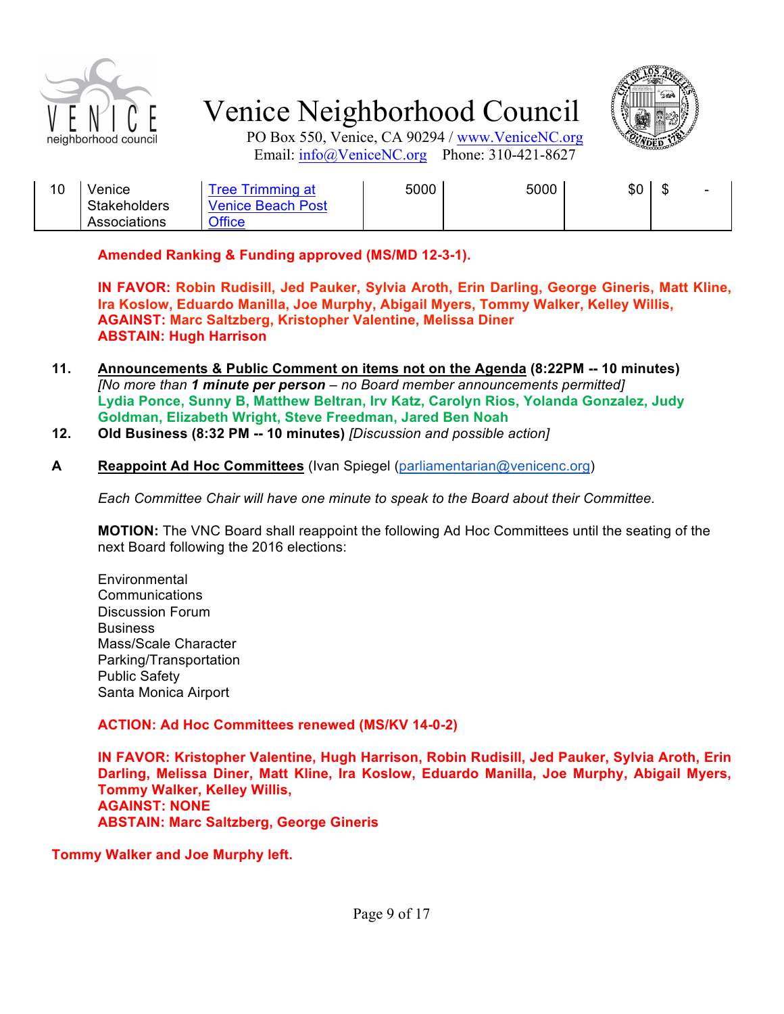



PO Box 550, Venice, CA 90294 / www.VeniceNC.org Email: info@VeniceNC.org Phone: 310-421-8627

| 10 | venice              | I rimming at<br>'ree | 5000 | 5000 | \$0 | w | $\overline{\phantom{a}}$ |
|----|---------------------|----------------------|------|------|-----|---|--------------------------|
|    | <b>Stakeholders</b> | Venice Beach Post    |      |      |     |   |                          |
|    | Associations        | <b>Office</b>        |      |      |     |   |                          |

**Amended Ranking & Funding approved (MS/MD 12-3-1).**

**IN FAVOR: Robin Rudisill, Jed Pauker, Sylvia Aroth, Erin Darling, George Gineris, Matt Kline, Ira Koslow, Eduardo Manilla, Joe Murphy, Abigail Myers, Tommy Walker, Kelley Willis, AGAINST: Marc Saltzberg, Kristopher Valentine, Melissa Diner ABSTAIN: Hugh Harrison**

- **11. Announcements & Public Comment on items not on the Agenda (8:22PM -- 10 minutes)** *[No more than 1 minute per person – no Board member announcements permitted]* **Lydia Ponce, Sunny B, Matthew Beltran, Irv Katz, Carolyn Rios, Yolanda Gonzalez, Judy Goldman, Elizabeth Wright, Steve Freedman, Jared Ben Noah**
- **12. Old Business (8:32 PM -- 10 minutes)** *[Discussion and possible action]*

#### **A Reappoint Ad Hoc Committees** (Ivan Spiegel (parliamentarian@venicenc.org)

*Each Committee Chair will have one minute to speak to the Board about their Committee.*

**MOTION:** The VNC Board shall reappoint the following Ad Hoc Committees until the seating of the next Board following the 2016 elections:

Environmental Communications Discussion Forum **Business** Mass/Scale Character Parking/Transportation Public Safety Santa Monica Airport

#### **ACTION: Ad Hoc Committees renewed (MS/KV 14-0-2)**

**IN FAVOR: Kristopher Valentine, Hugh Harrison, Robin Rudisill, Jed Pauker, Sylvia Aroth, Erin Darling, Melissa Diner, Matt Kline, Ira Koslow, Eduardo Manilla, Joe Murphy, Abigail Myers, Tommy Walker, Kelley Willis, AGAINST: NONE ABSTAIN: Marc Saltzberg, George Gineris**

**Tommy Walker and Joe Murphy left.**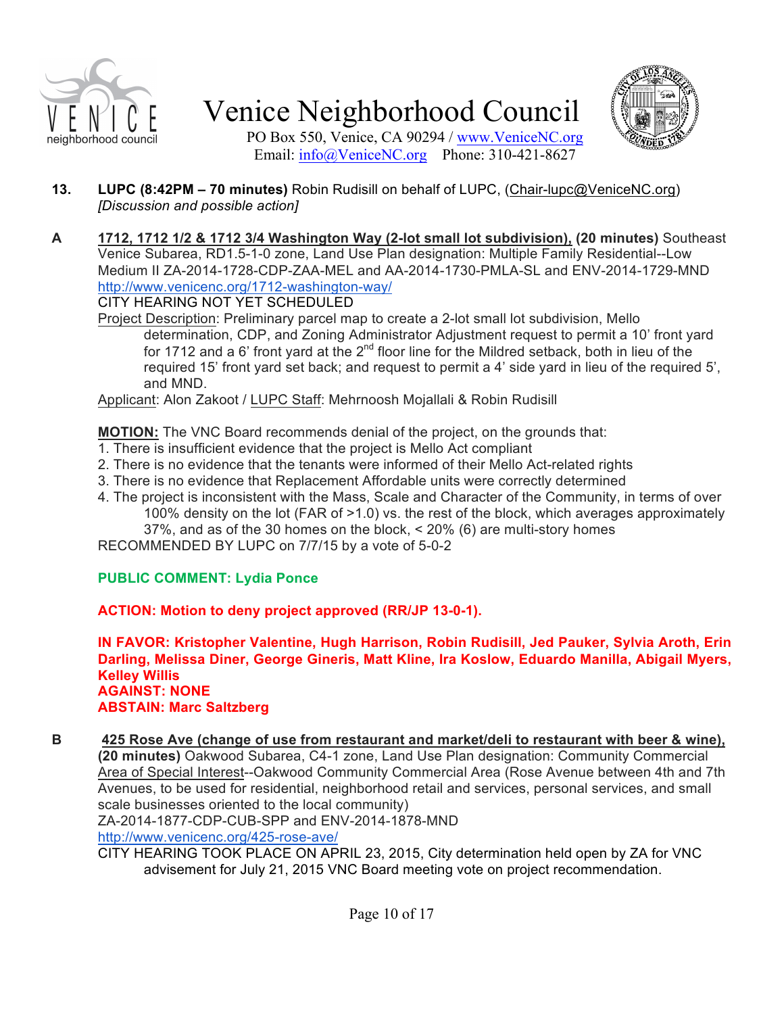



PO Box 550, Venice, CA 90294 / www.VeniceNC.org Email: info@VeniceNC.org Phone: 310-421-8627

- **13. LUPC (8:42PM – 70 minutes)** Robin Rudisill on behalf of LUPC, (Chair-lupc@VeniceNC.org) *[Discussion and possible action]*
- **A 1712, 1712 1/2 & 1712 3/4 Washington Way (2-lot small lot subdivision), (20 minutes)** Southeast Venice Subarea, RD1.5-1-0 zone, Land Use Plan designation: Multiple Family Residential--Low Medium II ZA-2014-1728-CDP-ZAA-MEL and AA-2014-1730-PMLA-SL and ENV-2014-1729-MND http://www.venicenc.org/1712-washington-way/

CITY HEARING NOT YET SCHEDULED

Project Description: Preliminary parcel map to create a 2-lot small lot subdivision, Mello determination, CDP, and Zoning Administrator Adjustment request to permit a 10' front yard for 1712 and a 6' front yard at the  $2^{nd}$  floor line for the Mildred setback, both in lieu of the required 15' front yard set back; and request to permit a 4' side yard in lieu of the required 5', and MND.

Applicant: Alon Zakoot / LUPC Staff: Mehrnoosh Mojallali & Robin Rudisill

**MOTION:** The VNC Board recommends denial of the project, on the grounds that:

- 1. There is insufficient evidence that the project is Mello Act compliant
- 2. There is no evidence that the tenants were informed of their Mello Act-related rights
- 3. There is no evidence that Replacement Affordable units were correctly determined
- 4. The project is inconsistent with the Mass, Scale and Character of the Community, in terms of over 100% density on the lot (FAR of >1.0) vs. the rest of the block, which averages approximately 37%, and as of the 30 homes on the block, < 20% (6) are multi-story homes

RECOMMENDED BY LUPC on 7/7/15 by a vote of 5-0-2

#### **PUBLIC COMMENT: Lydia Ponce**

**ACTION: Motion to deny project approved (RR/JP 13-0-1).**

**IN FAVOR: Kristopher Valentine, Hugh Harrison, Robin Rudisill, Jed Pauker, Sylvia Aroth, Erin Darling, Melissa Diner, George Gineris, Matt Kline, Ira Koslow, Eduardo Manilla, Abigail Myers, Kelley Willis AGAINST: NONE ABSTAIN: Marc Saltzberg**

**B 425 Rose Ave (change of use from restaurant and market/deli to restaurant with beer & wine), (20 minutes)** Oakwood Subarea, C4-1 zone, Land Use Plan designation: Community Commercial Area of Special Interest--Oakwood Community Commercial Area (Rose Avenue between 4th and 7th Avenues, to be used for residential, neighborhood retail and services, personal services, and small scale businesses oriented to the local community)

ZA-2014-1877-CDP-CUB-SPP and ENV-2014-1878-MND

http://www.venicenc.org/425-rose-ave/

CITY HEARING TOOK PLACE ON APRIL 23, 2015, City determination held open by ZA for VNC advisement for July 21, 2015 VNC Board meeting vote on project recommendation.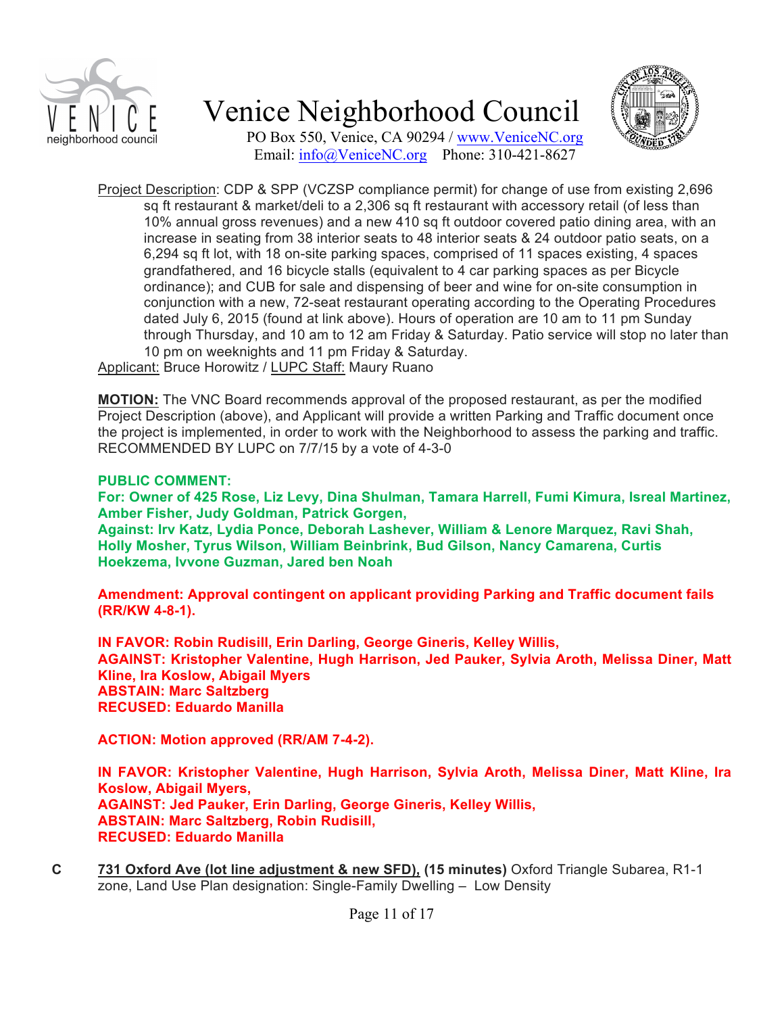



PO Box 550, Venice, CA 90294 / www.VeniceNC.org Email: info@VeniceNC.org Phone: 310-421-8627

Project Description: CDP & SPP (VCZSP compliance permit) for change of use from existing 2,696 sq ft restaurant & market/deli to a 2,306 sq ft restaurant with accessory retail (of less than 10% annual gross revenues) and a new 410 sq ft outdoor covered patio dining area, with an increase in seating from 38 interior seats to 48 interior seats & 24 outdoor patio seats, on a 6,294 sq ft lot, with 18 on-site parking spaces, comprised of 11 spaces existing, 4 spaces grandfathered, and 16 bicycle stalls (equivalent to 4 car parking spaces as per Bicycle ordinance); and CUB for sale and dispensing of beer and wine for on-site consumption in conjunction with a new, 72-seat restaurant operating according to the Operating Procedures dated July 6, 2015 (found at link above). Hours of operation are 10 am to 11 pm Sunday through Thursday, and 10 am to 12 am Friday & Saturday. Patio service will stop no later than 10 pm on weeknights and 11 pm Friday & Saturday.

Applicant: Bruce Horowitz / LUPC Staff: Maury Ruano

**MOTION:** The VNC Board recommends approval of the proposed restaurant, as per the modified Project Description (above), and Applicant will provide a written Parking and Traffic document once the project is implemented, in order to work with the Neighborhood to assess the parking and traffic. RECOMMENDED BY LUPC on 7/7/15 by a vote of 4-3-0

#### **PUBLIC COMMENT:**

**For: Owner of 425 Rose, Liz Levy, Dina Shulman, Tamara Harrell, Fumi Kimura, Isreal Martinez, Amber Fisher, Judy Goldman, Patrick Gorgen,**

**Against: Irv Katz, Lydia Ponce, Deborah Lashever, William & Lenore Marquez, Ravi Shah, Holly Mosher, Tyrus Wilson, William Beinbrink, Bud Gilson, Nancy Camarena, Curtis Hoekzema, Ivvone Guzman, Jared ben Noah**

**Amendment: Approval contingent on applicant providing Parking and Traffic document fails (RR/KW 4-8-1).**

**IN FAVOR: Robin Rudisill, Erin Darling, George Gineris, Kelley Willis, AGAINST: Kristopher Valentine, Hugh Harrison, Jed Pauker, Sylvia Aroth, Melissa Diner, Matt Kline, Ira Koslow, Abigail Myers ABSTAIN: Marc Saltzberg RECUSED: Eduardo Manilla**

**ACTION: Motion approved (RR/AM 7-4-2).**

**IN FAVOR: Kristopher Valentine, Hugh Harrison, Sylvia Aroth, Melissa Diner, Matt Kline, Ira Koslow, Abigail Myers, AGAINST: Jed Pauker, Erin Darling, George Gineris, Kelley Willis, ABSTAIN: Marc Saltzberg, Robin Rudisill, RECUSED: Eduardo Manilla**

**C 731 Oxford Ave (lot line adjustment & new SFD), (15 minutes)** Oxford Triangle Subarea, R1-1 zone, Land Use Plan designation: Single-Family Dwelling – Low Density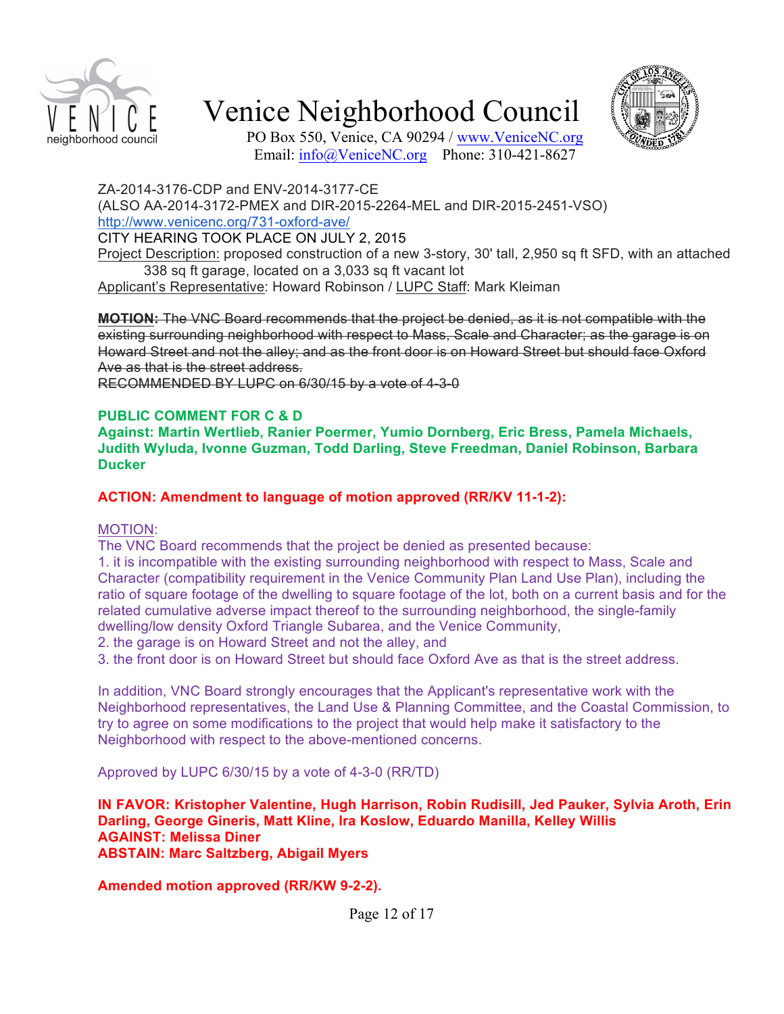



PO Box 550, Venice, CA 90294 / www.VeniceNC.org Email: info@VeniceNC.org Phone: 310-421-8627

ZA-2014-3176-CDP and ENV-2014-3177-CE

(ALSO AA-2014-3172-PMEX and DIR-2015-2264-MEL and DIR-2015-2451-VSO) http://www.venicenc.org/731-oxford-ave/

CITY HEARING TOOK PLACE ON JULY 2, 2015

Project Description: proposed construction of a new 3-story, 30' tall, 2,950 sq ft SFD, with an attached 338 sq ft garage, located on a 3,033 sq ft vacant lot

Applicant's Representative: Howard Robinson / LUPC Staff: Mark Kleiman

**MOTION:** The VNC Board recommends that the project be denied, as it is not compatible with the existing surrounding neighborhood with respect to Mass, Scale and Character; as the garage is on Howard Street and not the alley; and as the front door is on Howard Street but should face Oxford Ave as that is the street address.

RECOMMENDED BY LUPC on 6/30/15 by a vote of 4-3-0

#### **PUBLIC COMMENT FOR C & D**

**Against: Martin Wertlieb, Ranier Poermer, Yumio Dornberg, Eric Bress, Pamela Michaels, Judith Wyluda, Ivonne Guzman, Todd Darling, Steve Freedman, Daniel Robinson, Barbara Ducker**

#### **ACTION: Amendment to language of motion approved (RR/KV 11-1-2):**

#### MOTION:

The VNC Board recommends that the project be denied as presented because:

1. it is incompatible with the existing surrounding neighborhood with respect to Mass, Scale and Character (compatibility requirement in the Venice Community Plan Land Use Plan), including the ratio of square footage of the dwelling to square footage of the lot, both on a current basis and for the related cumulative adverse impact thereof to the surrounding neighborhood, the single-family dwelling/low density Oxford Triangle Subarea, and the Venice Community,

2. the garage is on Howard Street and not the alley, and

3. the front door is on Howard Street but should face Oxford Ave as that is the street address.

In addition, VNC Board strongly encourages that the Applicant's representative work with the Neighborhood representatives, the Land Use & Planning Committee, and the Coastal Commission, to try to agree on some modifications to the project that would help make it satisfactory to the Neighborhood with respect to the above-mentioned concerns.

Approved by LUPC 6/30/15 by a vote of 4-3-0 (RR/TD)

**IN FAVOR: Kristopher Valentine, Hugh Harrison, Robin Rudisill, Jed Pauker, Sylvia Aroth, Erin Darling, George Gineris, Matt Kline, Ira Koslow, Eduardo Manilla, Kelley Willis AGAINST: Melissa Diner ABSTAIN: Marc Saltzberg, Abigail Myers**

**Amended motion approved (RR/KW 9-2-2).**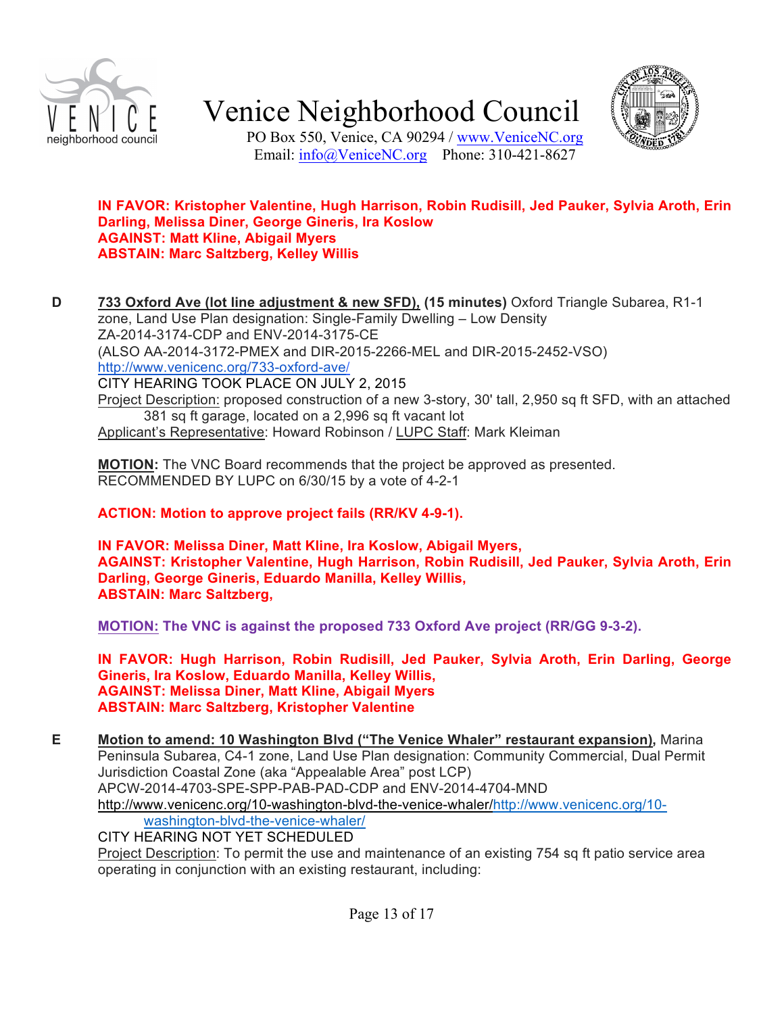



PO Box 550, Venice, CA 90294 / www.VeniceNC.org Email: info@VeniceNC.org Phone: 310-421-8627

#### **IN FAVOR: Kristopher Valentine, Hugh Harrison, Robin Rudisill, Jed Pauker, Sylvia Aroth, Erin Darling, Melissa Diner, George Gineris, Ira Koslow AGAINST: Matt Kline, Abigail Myers ABSTAIN: Marc Saltzberg, Kelley Willis**

**D 733 Oxford Ave (lot line adjustment & new SFD), (15 minutes)** Oxford Triangle Subarea, R1-1 zone, Land Use Plan designation: Single-Family Dwelling – Low Density ZA-2014-3174-CDP and ENV-2014-3175-CE (ALSO AA-2014-3172-PMEX and DIR-2015-2266-MEL and DIR-2015-2452-VSO) http://www.venicenc.org/733-oxford-ave/ CITY HEARING TOOK PLACE ON JULY 2, 2015 Project Description: proposed construction of a new 3-story, 30' tall, 2,950 sq ft SFD, with an attached 381 sq ft garage, located on a 2,996 sq ft vacant lot

Applicant's Representative: Howard Robinson / LUPC Staff: Mark Kleiman

**MOTION:** The VNC Board recommends that the project be approved as presented. RECOMMENDED BY LUPC on 6/30/15 by a vote of 4-2-1

**ACTION: Motion to approve project fails (RR/KV 4-9-1).**

**IN FAVOR: Melissa Diner, Matt Kline, Ira Koslow, Abigail Myers, AGAINST: Kristopher Valentine, Hugh Harrison, Robin Rudisill, Jed Pauker, Sylvia Aroth, Erin Darling, George Gineris, Eduardo Manilla, Kelley Willis, ABSTAIN: Marc Saltzberg,** 

**MOTION: The VNC is against the proposed 733 Oxford Ave project (RR/GG 9-3-2).**

**IN FAVOR: Hugh Harrison, Robin Rudisill, Jed Pauker, Sylvia Aroth, Erin Darling, George Gineris, Ira Koslow, Eduardo Manilla, Kelley Willis, AGAINST: Melissa Diner, Matt Kline, Abigail Myers ABSTAIN: Marc Saltzberg, Kristopher Valentine**

**E Motion to amend: 10 Washington Blvd ("The Venice Whaler" restaurant expansion),** Marina Peninsula Subarea, C4-1 zone, Land Use Plan designation: Community Commercial, Dual Permit Jurisdiction Coastal Zone (aka "Appealable Area" post LCP) APCW-2014-4703-SPE-SPP-PAB-PAD-CDP and ENV-2014-4704-MND http://www.venicenc.org/10-washington-blvd-the-venice-whaler/http://www.venicenc.org/10 washington-blvd-the-venice-whaler/

CITY HEARING NOT YET SCHEDULED

Project Description: To permit the use and maintenance of an existing 754 sq ft patio service area operating in conjunction with an existing restaurant, including: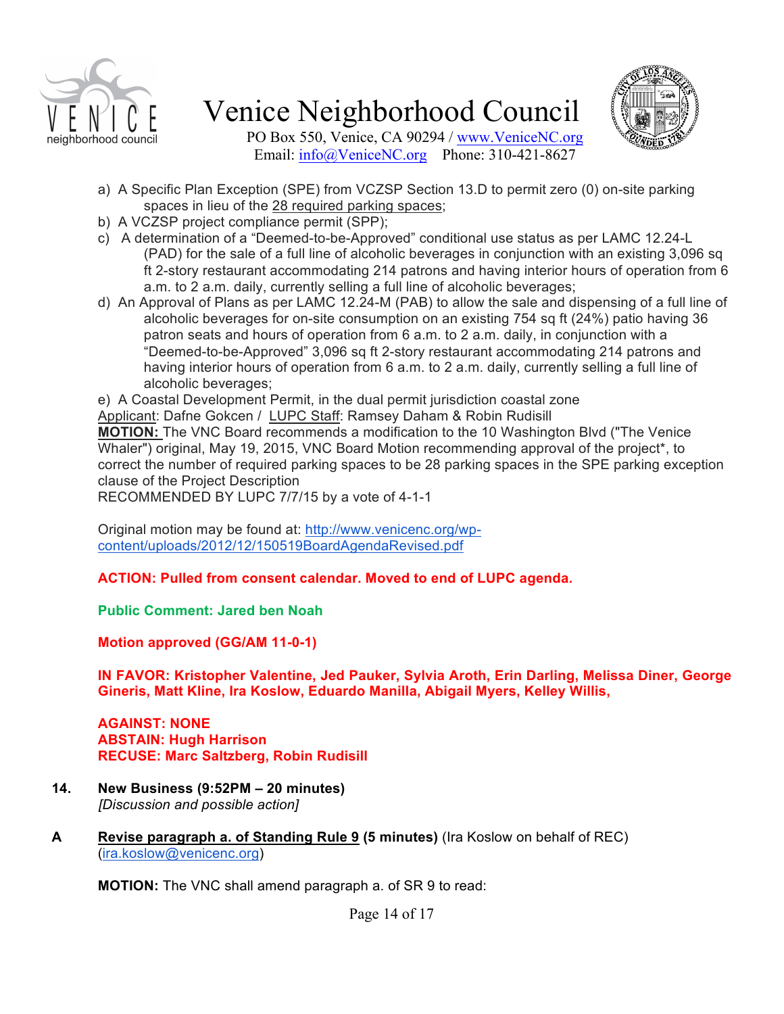



PO Box 550, Venice, CA 90294 / www.VeniceNC.org Email: info@VeniceNC.org Phone: 310-421-8627

- a) A Specific Plan Exception (SPE) from VCZSP Section 13.D to permit zero (0) on-site parking spaces in lieu of the 28 required parking spaces;
- b) A VCZSP project compliance permit (SPP);
- c) A determination of a "Deemed-to-be-Approved" conditional use status as per LAMC 12.24-L (PAD) for the sale of a full line of alcoholic beverages in conjunction with an existing 3,096 sq ft 2-story restaurant accommodating 214 patrons and having interior hours of operation from 6 a.m. to 2 a.m. daily, currently selling a full line of alcoholic beverages;
- d) An Approval of Plans as per LAMC 12.24-M (PAB) to allow the sale and dispensing of a full line of alcoholic beverages for on-site consumption on an existing 754 sq ft (24%) patio having 36 patron seats and hours of operation from 6 a.m. to 2 a.m. daily, in conjunction with a "Deemed-to-be-Approved" 3,096 sq ft 2-story restaurant accommodating 214 patrons and having interior hours of operation from 6 a.m. to 2 a.m. daily, currently selling a full line of alcoholic beverages;

e) A Coastal Development Permit, in the dual permit jurisdiction coastal zone

Applicant: Dafne Gokcen / LUPC Staff: Ramsey Daham & Robin Rudisill **MOTION:** The VNC Board recommends a modification to the 10 Washington Blvd ("The Venice Whaler") original, May 19, 2015, VNC Board Motion recommending approval of the project\*, to correct the number of required parking spaces to be 28 parking spaces in the SPE parking exception clause of the Project Description

RECOMMENDED BY LUPC 7/7/15 by a vote of 4-1-1

Original motion may be found at: http://www.venicenc.org/wpcontent/uploads/2012/12/150519BoardAgendaRevised.pdf

**ACTION: Pulled from consent calendar. Moved to end of LUPC agenda.**

**Public Comment: Jared ben Noah**

**Motion approved (GG/AM 11-0-1)**

**IN FAVOR: Kristopher Valentine, Jed Pauker, Sylvia Aroth, Erin Darling, Melissa Diner, George Gineris, Matt Kline, Ira Koslow, Eduardo Manilla, Abigail Myers, Kelley Willis,** 

**AGAINST: NONE ABSTAIN: Hugh Harrison RECUSE: Marc Saltzberg, Robin Rudisill**

- **14. New Business (9:52PM – 20 minutes)** *[Discussion and possible action]*
- **A Revise paragraph a. of Standing Rule 9 (5 minutes)** (Ira Koslow on behalf of REC) (ira.koslow@venicenc.org)

**MOTION:** The VNC shall amend paragraph a. of SR 9 to read: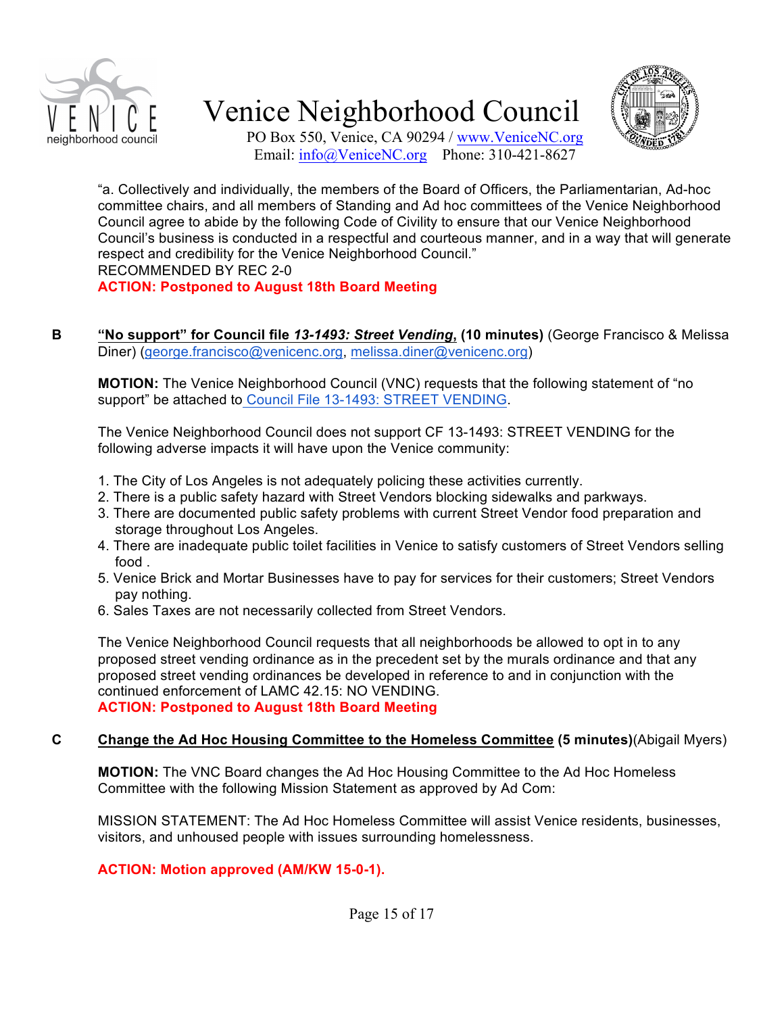



PO Box 550, Venice, CA 90294 / www.VeniceNC.org Email: info@VeniceNC.org Phone: 310-421-8627

"a. Collectively and individually, the members of the Board of Officers, the Parliamentarian, Ad-hoc committee chairs, and all members of Standing and Ad hoc committees of the Venice Neighborhood Council agree to abide by the following Code of Civility to ensure that our Venice Neighborhood Council's business is conducted in a respectful and courteous manner, and in a way that will generate respect and credibility for the Venice Neighborhood Council." RECOMMENDED BY REC 2-0

**ACTION: Postponed to August 18th Board Meeting**

**B "No support" for Council file** *13-1493: Street Vending***, (10 minutes)** (George Francisco & Melissa Diner) (george.francisco@venicenc.org, melissa.diner@venicenc.org)

**MOTION:** The Venice Neighborhood Council (VNC) requests that the following statement of "no support" be attached to Council File 13-1493: STREET VENDING.

The Venice Neighborhood Council does not support CF 13-1493: STREET VENDING for the following adverse impacts it will have upon the Venice community:

- 1. The City of Los Angeles is not adequately policing these activities currently.
- 2. There is a public safety hazard with Street Vendors blocking sidewalks and parkways.
- 3. There are documented public safety problems with current Street Vendor food preparation and storage throughout Los Angeles.
- 4. There are inadequate public toilet facilities in Venice to satisfy customers of Street Vendors selling food .
- 5. Venice Brick and Mortar Businesses have to pay for services for their customers; Street Vendors pay nothing.
- 6. Sales Taxes are not necessarily collected from Street Vendors.

The Venice Neighborhood Council requests that all neighborhoods be allowed to opt in to any proposed street vending ordinance as in the precedent set by the murals ordinance and that any proposed street vending ordinances be developed in reference to and in conjunction with the continued enforcement of LAMC 42.15: NO VENDING.

**ACTION: Postponed to August 18th Board Meeting**

#### **C Change the Ad Hoc Housing Committee to the Homeless Committee (5 minutes)**(Abigail Myers)

**MOTION:** The VNC Board changes the Ad Hoc Housing Committee to the Ad Hoc Homeless Committee with the following Mission Statement as approved by Ad Com:

MISSION STATEMENT: The Ad Hoc Homeless Committee will assist Venice residents, businesses, visitors, and unhoused people with issues surrounding homelessness.

#### **ACTION: Motion approved (AM/KW 15-0-1).**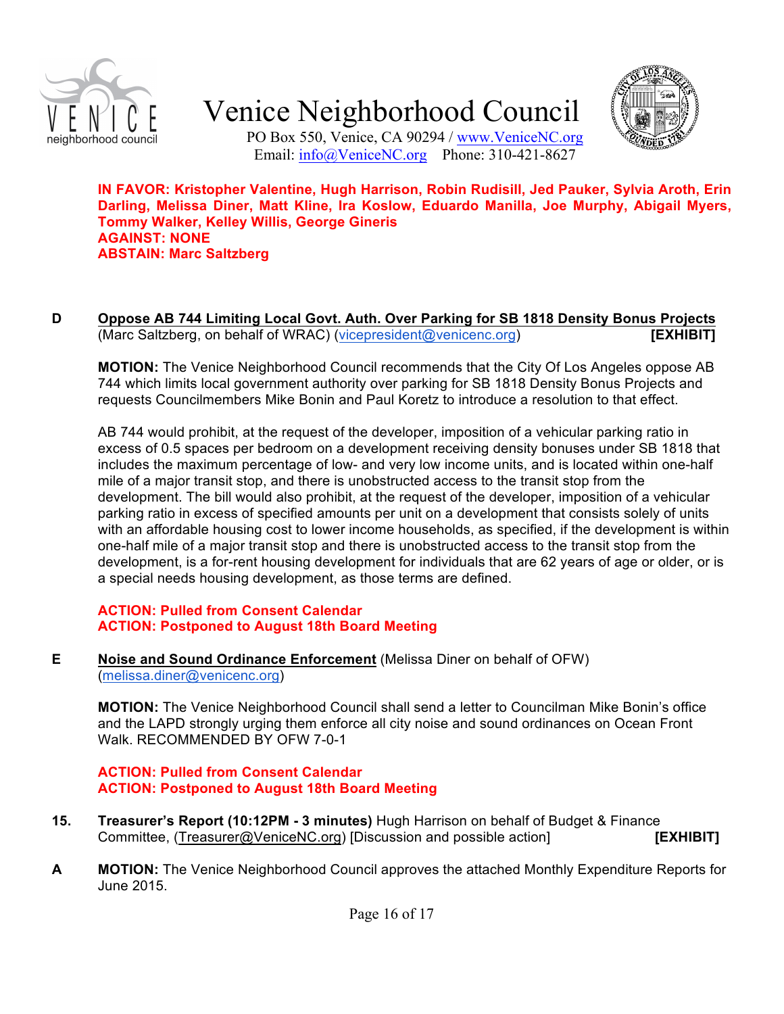



PO Box 550, Venice, CA 90294 / www.VeniceNC.org Email: info@VeniceNC.org Phone: 310-421-8627

**IN FAVOR: Kristopher Valentine, Hugh Harrison, Robin Rudisill, Jed Pauker, Sylvia Aroth, Erin Darling, Melissa Diner, Matt Kline, Ira Koslow, Eduardo Manilla, Joe Murphy, Abigail Myers, Tommy Walker, Kelley Willis, George Gineris AGAINST: NONE ABSTAIN: Marc Saltzberg**

**D Oppose AB 744 Limiting Local Govt. Auth. Over Parking for SB 1818 Density Bonus Projects** (Marc Saltzberg, on behalf of WRAC) (vicepresident@venicenc.org) **[EXHIBIT]**

**MOTION:** The Venice Neighborhood Council recommends that the City Of Los Angeles oppose AB 744 which limits local government authority over parking for SB 1818 Density Bonus Projects and requests Councilmembers Mike Bonin and Paul Koretz to introduce a resolution to that effect.

AB 744 would prohibit, at the request of the developer, imposition of a vehicular parking ratio in excess of 0.5 spaces per bedroom on a development receiving density bonuses under SB 1818 that includes the maximum percentage of low- and very low income units, and is located within one-half mile of a major transit stop, and there is unobstructed access to the transit stop from the development. The bill would also prohibit, at the request of the developer, imposition of a vehicular parking ratio in excess of specified amounts per unit on a development that consists solely of units with an affordable housing cost to lower income households, as specified, if the development is within one-half mile of a major transit stop and there is unobstructed access to the transit stop from the development, is a for-rent housing development for individuals that are 62 years of age or older, or is a special needs housing development, as those terms are defined.

#### **ACTION: Pulled from Consent Calendar ACTION: Postponed to August 18th Board Meeting**

**E Noise and Sound Ordinance Enforcement** (Melissa Diner on behalf of OFW) (melissa.diner@venicenc.org)

**MOTION:** The Venice Neighborhood Council shall send a letter to Councilman Mike Bonin's office and the LAPD strongly urging them enforce all city noise and sound ordinances on Ocean Front Walk. RECOMMENDED BY OFW 7-0-1

**ACTION: Pulled from Consent Calendar ACTION: Postponed to August 18th Board Meeting**

- **15. Treasurer's Report (10:12PM - 3 minutes)** Hugh Harrison on behalf of Budget & Finance Committee, (Treasurer@VeniceNC.org) [Discussion and possible action] **[EXHIBIT]**
- **A MOTION:** The Venice Neighborhood Council approves the attached Monthly Expenditure Reports for June 2015.